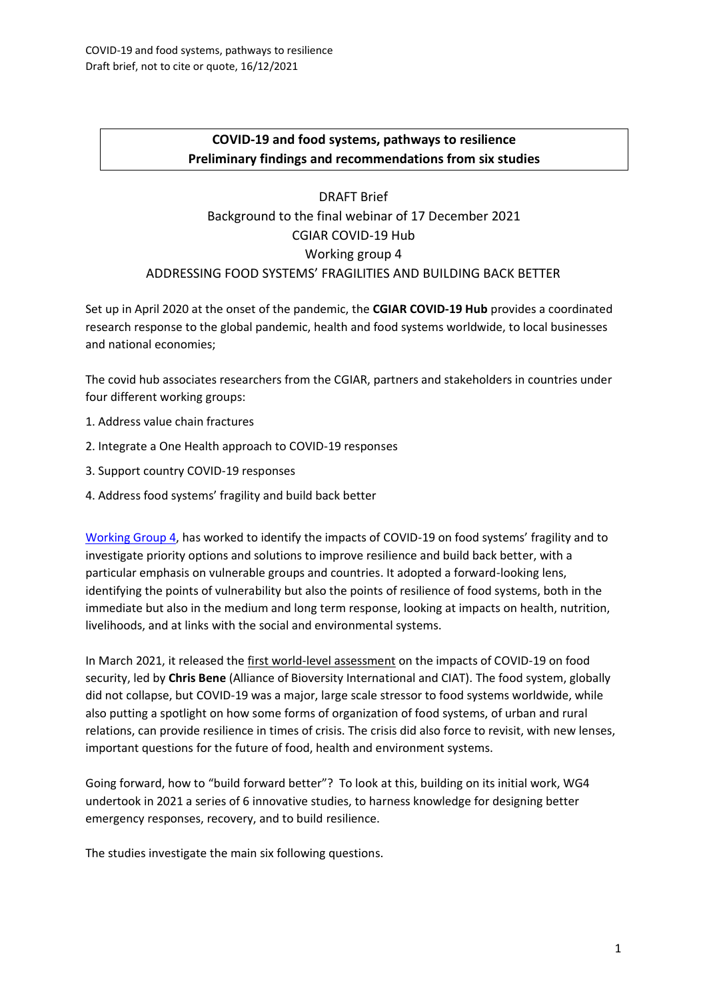# **COVID-19 and food systems, pathways to resilience Preliminary findings and recommendations from six studies**

# DRAFT Brief Background to the final webinar of 17 December 2021 CGIAR COVID-19 Hub Working group 4 ADDRESSING FOOD SYSTEMS' FRAGILITIES AND BUILDING BACK BETTER

Set up in April 2020 at the onset of the pandemic, the **CGIAR COVID-19 Hub** provides a coordinated research response to the global pandemic, health and food systems worldwide, to local businesses and national economies;

The covid hub associates researchers from the CGIAR, partners and stakeholders in countries under four different working groups:

- 1. Address value chain fractures
- 2. Integrate a One Health approach to COVID-19 responses
- 3. Support country COVID-19 responses
- 4. Address food systems' fragility and build back better

[Working Group 4,](https://a4nh.cgiar.org/covidhub/covid-hub-focus-addressing-food-systems-fragility-and-building-back-better/) has worked to identify the impacts of COVID-19 on food systems' fragility and to investigate priority options and solutions to improve resilience and build back better, with a particular emphasis on vulnerable groups and countries. It adopted a forward-looking lens, identifying the points of vulnerability but also the points of resilience of food systems, both in the immediate but also in the medium and long term response, looking at impacts on health, nutrition, livelihoods, and at links with the social and environmental systems.

In March 2021, it released the [first world-level assessment](https://doi.org/10.2499/p15738coll2.134295) on the impacts of COVID-19 on food security, led by **Chris Bene** (Alliance of Bioversity International and CIAT). The food system, globally did not collapse, but COVID-19 was a major, large scale stressor to food systems worldwide, while also putting a spotlight on how some forms of organization of food systems, of urban and rural relations, can provide resilience in times of crisis. The crisis did also force to revisit, with new lenses, important questions for the future of food, health and environment systems.

Going forward, how to "build forward better"? To look at this, building on its initial work, WG4 undertook in 2021 a series of 6 innovative studies, to harness knowledge for designing better emergency responses, recovery, and to build resilience.

The studies investigate the main six following questions.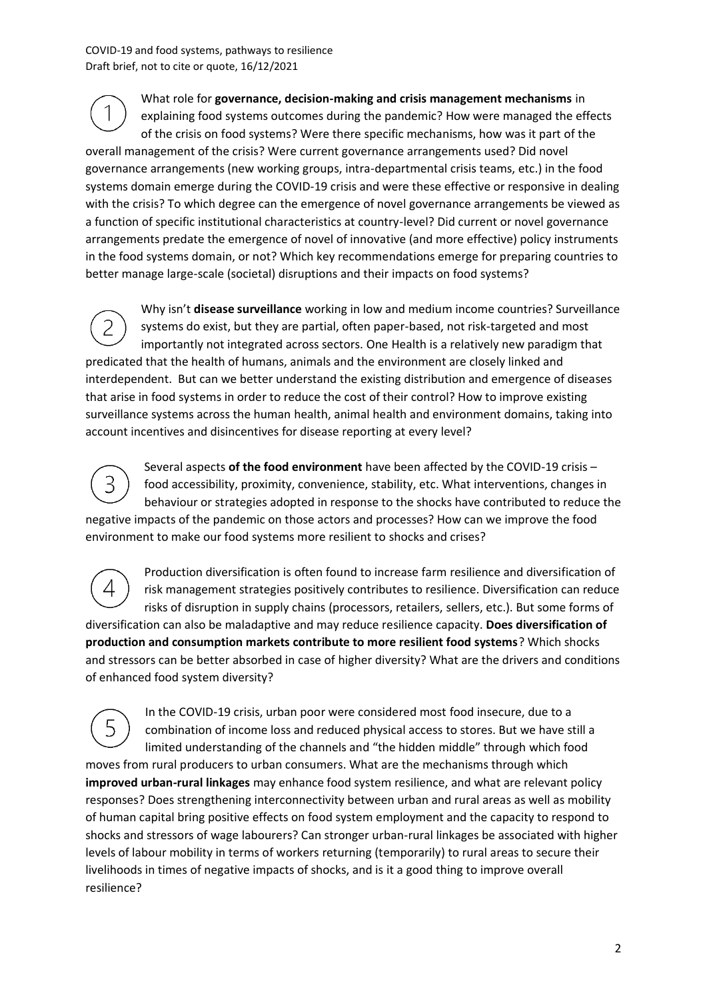What role for **governance, decision-making and crisis management mechanisms** in explaining food systems outcomes during the pandemic? How were managed the effects of the crisis on food systems? Were there specific mechanisms, how was it part of the overall management of the crisis? Were current governance arrangements used? Did novel governance arrangements (new working groups, intra-departmental crisis teams, etc.) in the food systems domain emerge during the COVID-19 crisis and were these effective or responsive in dealing with the crisis? To which degree can the emergence of novel governance arrangements be viewed as a function of specific institutional characteristics at country-level? Did current or novel governance arrangements predate the emergence of novel of innovative (and more effective) policy instruments in the food systems domain, or not? Which key recommendations emerge for preparing countries to better manage large-scale (societal) disruptions and their impacts on food systems?

Why isn't **disease surveillance** working in low and medium income countries? Surveillance  $\overline{2}$ systems do exist, but they are partial, often paper-based, not risk-targeted and most importantly not integrated across sectors. One Health is a relatively new paradigm that predicated that the health of humans, animals and the environment are closely linked and interdependent. But can we better understand the existing distribution and emergence of diseases that arise in food systems in order to reduce the cost of their control? How to improve existing surveillance systems across the human health, animal health and environment domains, taking into account incentives and disincentives for disease reporting at every level?



Several aspects **of the food environment** have been affected by the COVID-19 crisis – food accessibility, proximity, convenience, stability, etc. What interventions, changes in behaviour or strategies adopted in response to the shocks have contributed to reduce the negative impacts of the pandemic on those actors and processes? How can we improve the food environment to make our food systems more resilient to shocks and crises?

Production diversification is often found to increase farm resilience and diversification of 4 risk management strategies positively contributes to resilience. Diversification can reduce risks of disruption in supply chains (processors, retailers, sellers, etc.). But some forms of diversification can also be maladaptive and may reduce resilience capacity. **Does diversification of production and consumption markets contribute to more resilient food systems**? Which shocks and stressors can be better absorbed in case of higher diversity? What are the drivers and conditions of enhanced food system diversity?

In the COVID-19 crisis, urban poor were considered most food insecure, due to a combination of income loss and reduced physical access to stores. But we have still a limited understanding of the channels and "the hidden middle" through which food moves from rural producers to urban consumers. What are the mechanisms through which **improved urban-rural linkages** may enhance food system resilience, and what are relevant policy responses? Does strengthening interconnectivity between urban and rural areas as well as mobility of human capital bring positive effects on food system employment and the capacity to respond to shocks and stressors of wage labourers? Can stronger urban-rural linkages be associated with higher levels of labour mobility in terms of workers returning (temporarily) to rural areas to secure their livelihoods in times of negative impacts of shocks, and is it a good thing to improve overall resilience?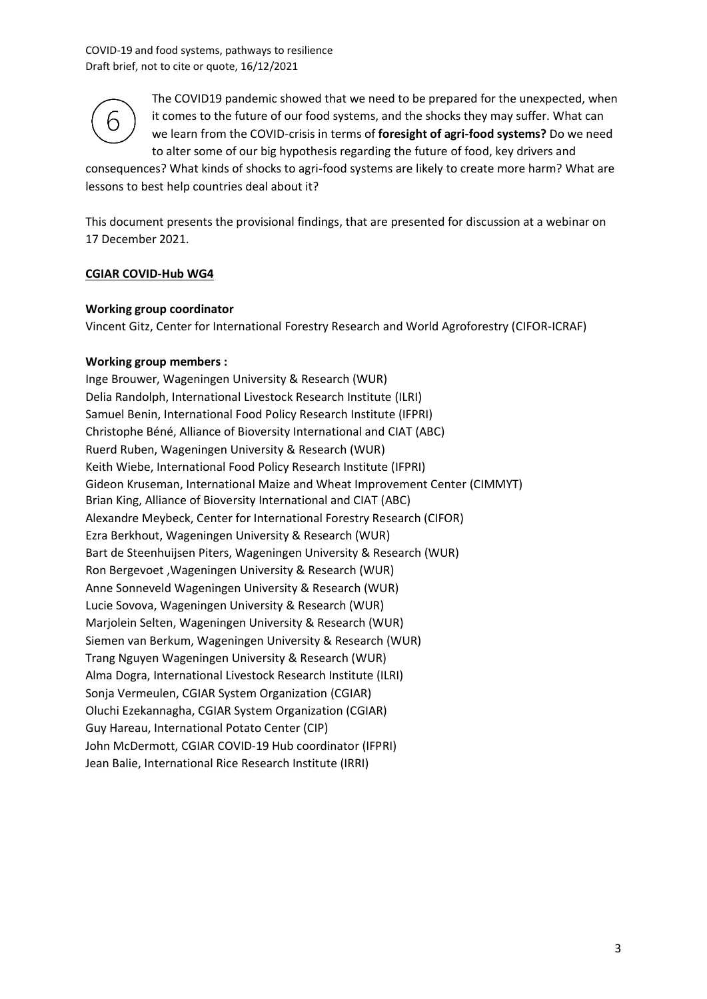

The COVID19 pandemic showed that we need to be prepared for the unexpected, when it comes to the future of our food systems, and the shocks they may suffer. What can we learn from the COVID-crisis in terms of **foresight of agri-food systems?** Do we need to alter some of our big hypothesis regarding the future of food, key drivers and

consequences? What kinds of shocks to agri-food systems are likely to create more harm? What are lessons to best help countries deal about it?

This document presents the provisional findings, that are presented for discussion at a webinar on 17 December 2021.

#### **CGIAR COVID-Hub WG4**

#### **Working group coordinator**

Vincent Gitz, Center for International Forestry Research and World Agroforestry (CIFOR-ICRAF)

#### **Working group members :**

Inge Brouwer, Wageningen University & Research (WUR) Delia Randolph, International Livestock Research Institute (ILRI) Samuel Benin, International Food Policy Research Institute (IFPRI) Christophe Béné, Alliance of Bioversity International and CIAT (ABC) Ruerd Ruben, Wageningen University & Research (WUR) Keith Wiebe, International Food Policy Research Institute (IFPRI) Gideon Kruseman, International Maize and Wheat Improvement Center (CIMMYT) Brian King, Alliance of Bioversity International and CIAT (ABC) Alexandre Meybeck, Center for International Forestry Research (CIFOR) Ezra Berkhout, Wageningen University & Research (WUR) Bart de Steenhuijsen Piters, Wageningen University & Research (WUR) Ron Bergevoet ,Wageningen University & Research (WUR) Anne Sonneveld Wageningen University & Research (WUR) Lucie Sovova, Wageningen University & Research (WUR) Marjolein Selten, Wageningen University & Research (WUR) Siemen van Berkum, Wageningen University & Research (WUR) Trang Nguyen Wageningen University & Research (WUR) Alma Dogra, International Livestock Research Institute (ILRI) Sonja Vermeulen, CGIAR System Organization (CGIAR) Oluchi Ezekannagha, CGIAR System Organization (CGIAR) Guy Hareau, International Potato Center (CIP) John McDermott, CGIAR COVID-19 Hub coordinator (IFPRI) Jean Balie, International Rice Research Institute (IRRI)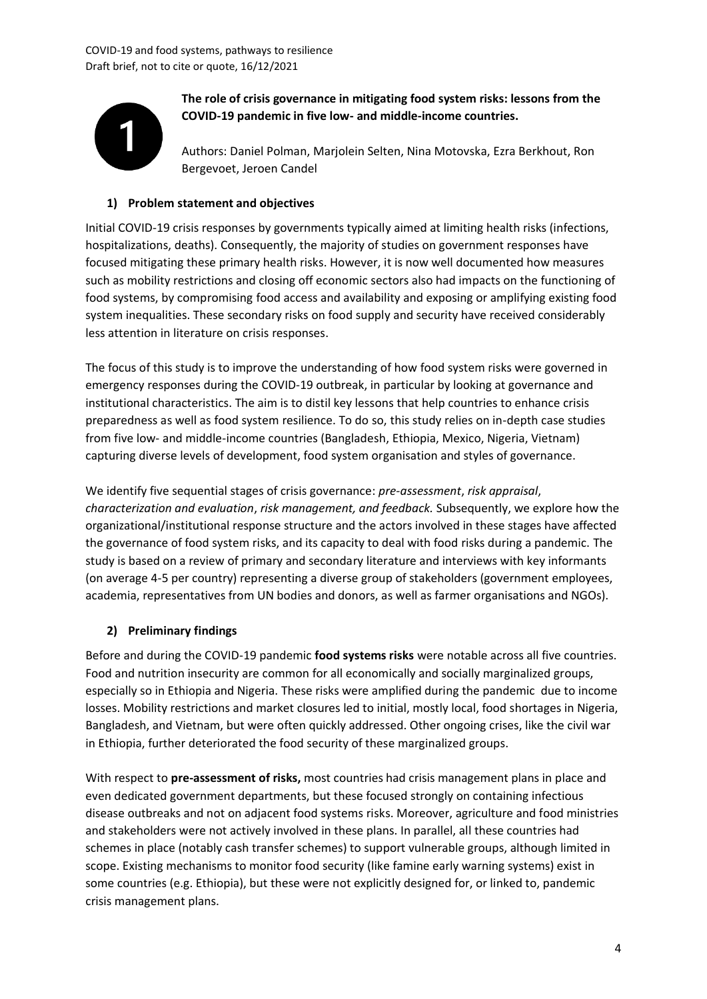

**The role of crisis governance in mitigating food system risks: lessons from the COVID-19 pandemic in five low- and middle-income countries.**

Authors: Daniel Polman, Marjolein Selten, Nina Motovska, Ezra Berkhout, Ron Bergevoet, Jeroen Candel

#### **1) Problem statement and objectives**

Initial COVID-19 crisis responses by governments typically aimed at limiting health risks (infections, hospitalizations, deaths). Consequently, the majority of studies on government responses have focused mitigating these primary health risks. However, it is now well documented how measures such as mobility restrictions and closing off economic sectors also had impacts on the functioning of food systems, by compromising food access and availability and exposing or amplifying existing food system inequalities. These secondary risks on food supply and security have received considerably less attention in literature on crisis responses.

The focus of this study is to improve the understanding of how food system risks were governed in emergency responses during the COVID-19 outbreak, in particular by looking at governance and institutional characteristics. The aim is to distil key lessons that help countries to enhance crisis preparedness as well as food system resilience. To do so, this study relies on in-depth case studies from five low- and middle-income countries (Bangladesh, Ethiopia, Mexico, Nigeria, Vietnam) capturing diverse levels of development, food system organisation and styles of governance.

We identify five sequential stages of crisis governance: *pre-assessment*, *risk appraisal*, *characterization and evaluation*, *risk management, and feedback.* Subsequently, we explore how the organizational/institutional response structure and the actors involved in these stages have affected the governance of food system risks, and its capacity to deal with food risks during a pandemic. The study is based on a review of primary and secondary literature and interviews with key informants (on average 4-5 per country) representing a diverse group of stakeholders (government employees, academia, representatives from UN bodies and donors, as well as farmer organisations and NGOs).

#### **2) Preliminary findings**

Before and during the COVID-19 pandemic **food systems risks** were notable across all five countries. Food and nutrition insecurity are common for all economically and socially marginalized groups, especially so in Ethiopia and Nigeria. These risks were amplified during the pandemic due to income losses. Mobility restrictions and market closures led to initial, mostly local, food shortages in Nigeria, Bangladesh, and Vietnam, but were often quickly addressed. Other ongoing crises, like the civil war in Ethiopia, further deteriorated the food security of these marginalized groups.

With respect to **pre-assessment of risks,** most countries had crisis management plans in place and even dedicated government departments, but these focused strongly on containing infectious disease outbreaks and not on adjacent food systems risks. Moreover, agriculture and food ministries and stakeholders were not actively involved in these plans. In parallel, all these countries had schemes in place (notably cash transfer schemes) to support vulnerable groups, although limited in scope. Existing mechanisms to monitor food security (like famine early warning systems) exist in some countries (e.g. Ethiopia), but these were not explicitly designed for, or linked to, pandemic crisis management plans.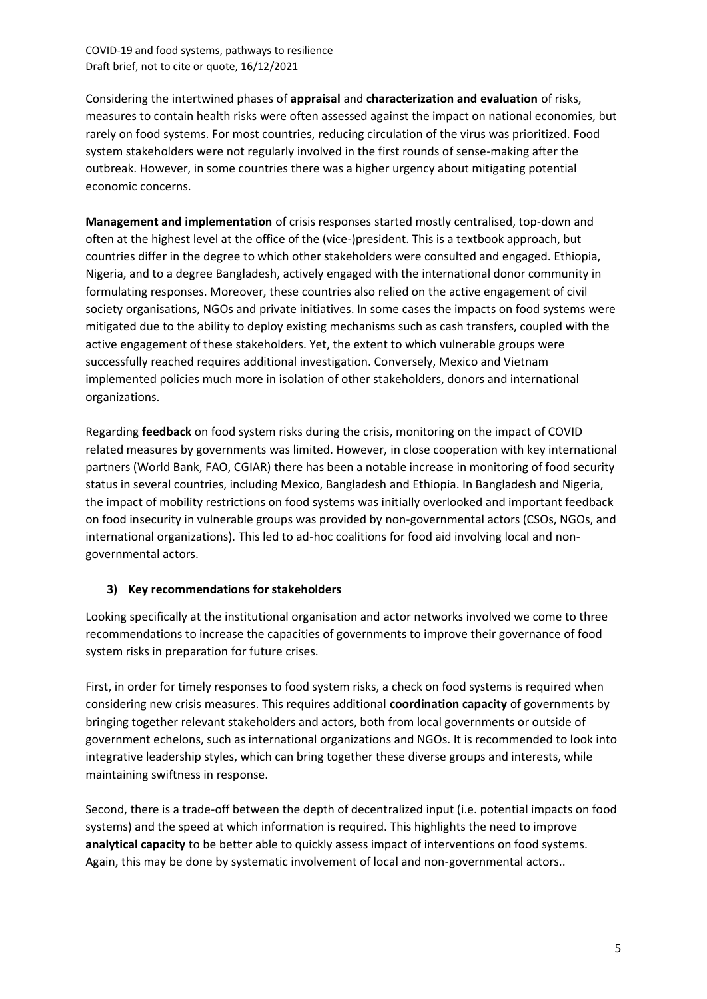Considering the intertwined phases of **appraisal** and **characterization and evaluation** of risks, measures to contain health risks were often assessed against the impact on national economies, but rarely on food systems. For most countries, reducing circulation of the virus was prioritized. Food system stakeholders were not regularly involved in the first rounds of sense-making after the outbreak. However, in some countries there was a higher urgency about mitigating potential economic concerns.

**Management and implementation** of crisis responses started mostly centralised, top-down and often at the highest level at the office of the (vice-)president. This is a textbook approach, but countries differ in the degree to which other stakeholders were consulted and engaged. Ethiopia, Nigeria, and to a degree Bangladesh, actively engaged with the international donor community in formulating responses. Moreover, these countries also relied on the active engagement of civil society organisations, NGOs and private initiatives. In some cases the impacts on food systems were mitigated due to the ability to deploy existing mechanisms such as cash transfers, coupled with the active engagement of these stakeholders. Yet, the extent to which vulnerable groups were successfully reached requires additional investigation. Conversely, Mexico and Vietnam implemented policies much more in isolation of other stakeholders, donors and international organizations.

Regarding **feedback** on food system risks during the crisis, monitoring on the impact of COVID related measures by governments was limited. However, in close cooperation with key international partners (World Bank, FAO, CGIAR) there has been a notable increase in monitoring of food security status in several countries, including Mexico, Bangladesh and Ethiopia. In Bangladesh and Nigeria, the impact of mobility restrictions on food systems was initially overlooked and important feedback on food insecurity in vulnerable groups was provided by non-governmental actors (CSOs, NGOs, and international organizations). This led to ad-hoc coalitions for food aid involving local and nongovernmental actors.

#### **3) Key recommendations for stakeholders**

Looking specifically at the institutional organisation and actor networks involved we come to three recommendations to increase the capacities of governments to improve their governance of food system risks in preparation for future crises.

First, in order for timely responses to food system risks, a check on food systems is required when considering new crisis measures. This requires additional **coordination capacity** of governments by bringing together relevant stakeholders and actors, both from local governments or outside of government echelons, such as international organizations and NGOs. It is recommended to look into integrative leadership styles, which can bring together these diverse groups and interests, while maintaining swiftness in response.

Second, there is a trade-off between the depth of decentralized input (i.e. potential impacts on food systems) and the speed at which information is required. This highlights the need to improve **analytical capacity** to be better able to quickly assess impact of interventions on food systems. Again, this may be done by systematic involvement of local and non-governmental actors..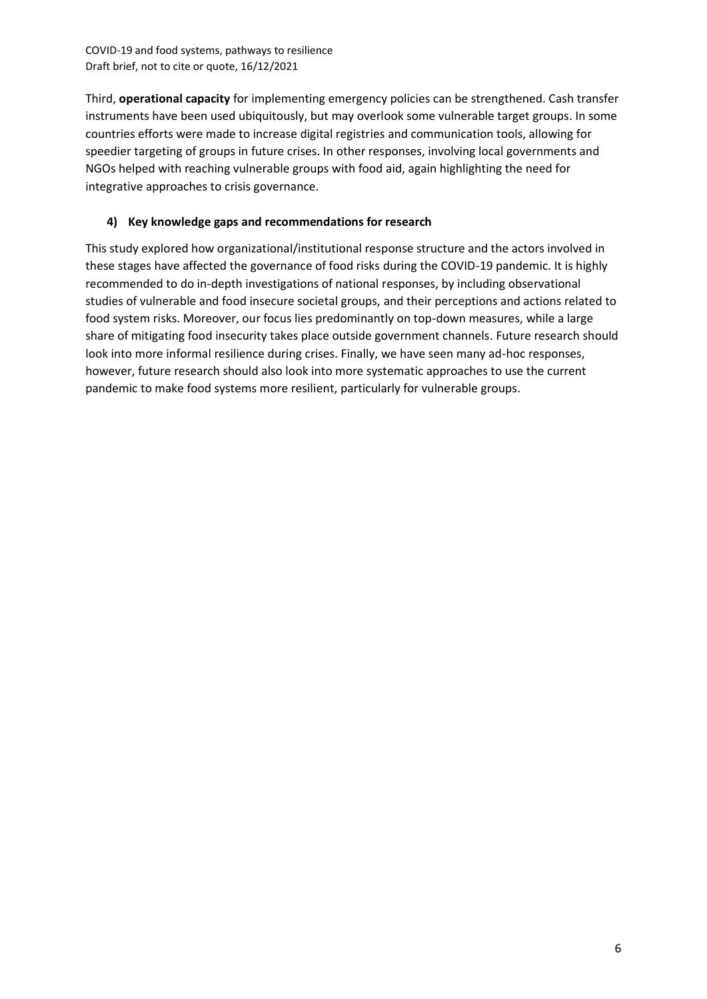Third, **operational capacity** for implementing emergency policies can be strengthened. Cash transfer instruments have been used ubiquitously, but may overlook some vulnerable target groups. In some countries efforts were made to increase digital registries and communication tools, allowing for speedier targeting of groups in future crises. In other responses, involving local governments and NGOs helped with reaching vulnerable groups with food aid, again highlighting the need for integrative approaches to crisis governance.

#### **4) Key knowledge gaps and recommendations for research**

This study explored how organizational/institutional response structure and the actors involved in these stages have affected the governance of food risks during the COVID-19 pandemic. It is highly recommended to do in-depth investigations of national responses, by including observational studies of vulnerable and food insecure societal groups, and their perceptions and actions related to food system risks. Moreover, our focus lies predominantly on top-down measures, while a large share of mitigating food insecurity takes place outside government channels. Future research should look into more informal resilience during crises. Finally, we have seen many ad-hoc responses, however, future research should also look into more systematic approaches to use the current pandemic to make food systems more resilient, particularly for vulnerable groups.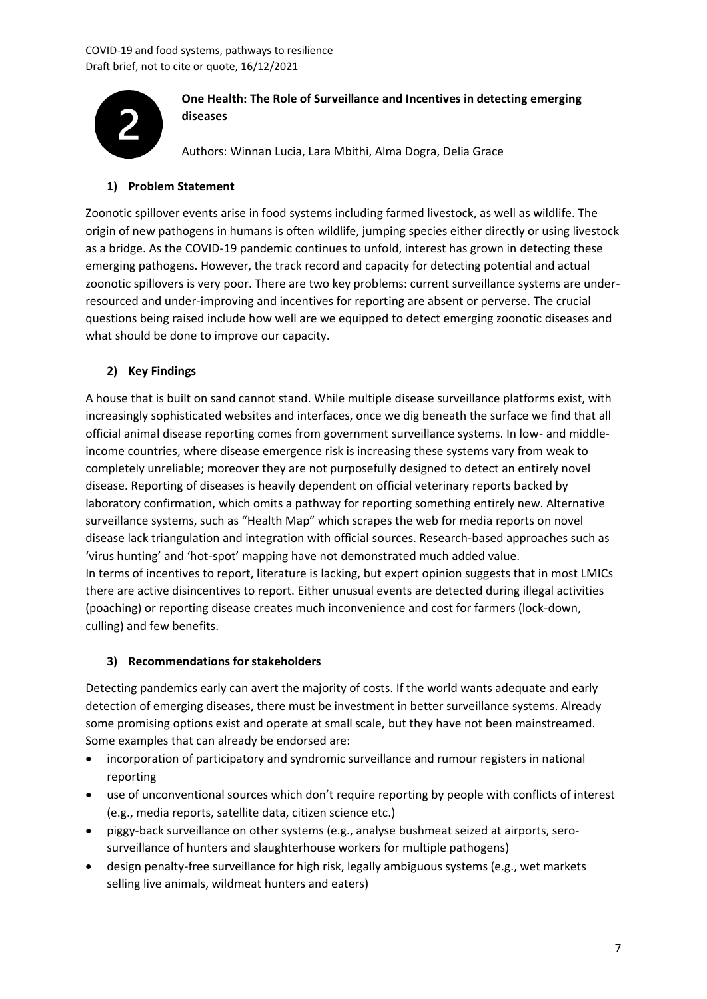

# **One Health: The Role of Surveillance and Incentives in detecting emerging diseases**

Authors: Winnan Lucia, Lara Mbithi, Alma Dogra, Delia Grace

# **1) Problem Statement**

Zoonotic spillover events arise in food systems including farmed livestock, as well as wildlife. The origin of new pathogens in humans is often wildlife, jumping species either directly or using livestock as a bridge. As the COVID-19 pandemic continues to unfold, interest has grown in detecting these emerging pathogens. However, the track record and capacity for detecting potential and actual zoonotic spillovers is very poor. There are two key problems: current surveillance systems are underresourced and under-improving and incentives for reporting are absent or perverse. The crucial questions being raised include how well are we equipped to detect emerging zoonotic diseases and what should be done to improve our capacity.

### **2) Key Findings**

A house that is built on sand cannot stand. While multiple disease surveillance platforms exist, with increasingly sophisticated websites and interfaces, once we dig beneath the surface we find that all official animal disease reporting comes from government surveillance systems. In low- and middleincome countries, where disease emergence risk is increasing these systems vary from weak to completely unreliable; moreover they are not purposefully designed to detect an entirely novel disease. Reporting of diseases is heavily dependent on official veterinary reports backed by laboratory confirmation, which omits a pathway for reporting something entirely new. Alternative surveillance systems, such as "Health Map" which scrapes the web for media reports on novel disease lack triangulation and integration with official sources. Research-based approaches such as 'virus hunting' and 'hot-spot' mapping have not demonstrated much added value. In terms of incentives to report, literature is lacking, but expert opinion suggests that in most LMICs there are active disincentives to report. Either unusual events are detected during illegal activities (poaching) or reporting disease creates much inconvenience and cost for farmers (lock-down, culling) and few benefits.

#### **3) Recommendations for stakeholders**

Detecting pandemics early can avert the majority of costs. If the world wants adequate and early detection of emerging diseases, there must be investment in better surveillance systems. Already some promising options exist and operate at small scale, but they have not been mainstreamed. Some examples that can already be endorsed are:

- incorporation of participatory and syndromic surveillance and rumour registers in national reporting
- use of unconventional sources which don't require reporting by people with conflicts of interest (e.g., media reports, satellite data, citizen science etc.)
- piggy-back surveillance on other systems (e.g., analyse bushmeat seized at airports, serosurveillance of hunters and slaughterhouse workers for multiple pathogens)
- design penalty-free surveillance for high risk, legally ambiguous systems (e.g., wet markets selling live animals, wildmeat hunters and eaters)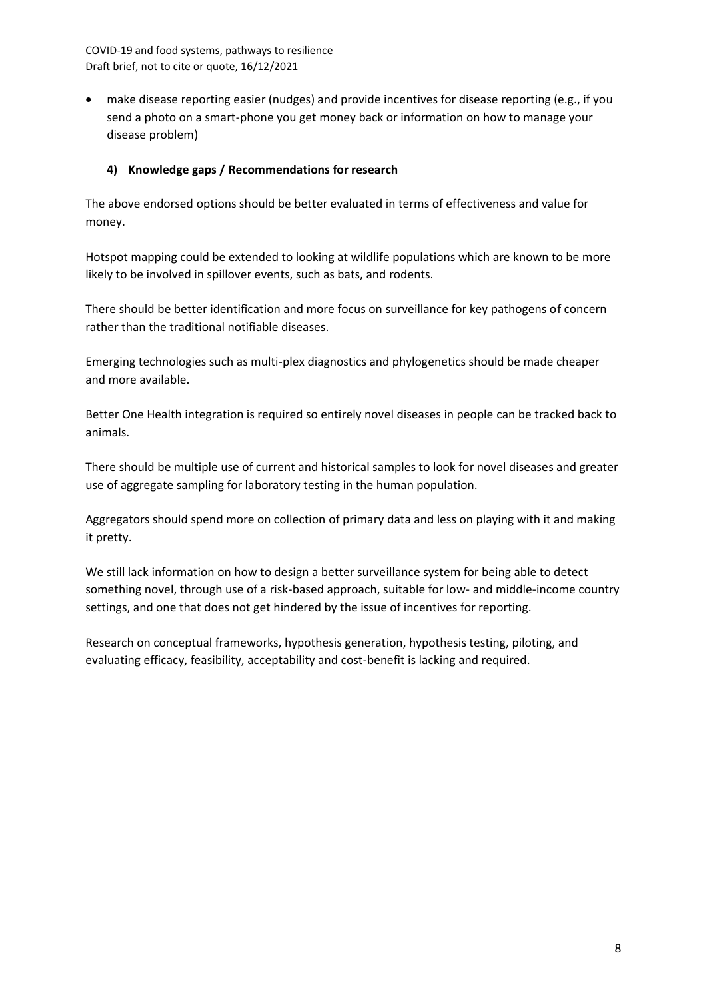• make disease reporting easier (nudges) and provide incentives for disease reporting (e.g., if you send a photo on a smart-phone you get money back or information on how to manage your disease problem)

#### **4) Knowledge gaps / Recommendations for research**

The above endorsed options should be better evaluated in terms of effectiveness and value for money.

Hotspot mapping could be extended to looking at wildlife populations which are known to be more likely to be involved in spillover events, such as bats, and rodents.

There should be better identification and more focus on surveillance for key pathogens of concern rather than the traditional notifiable diseases.

Emerging technologies such as multi-plex diagnostics and phylogenetics should be made cheaper and more available.

Better One Health integration is required so entirely novel diseases in people can be tracked back to animals.

There should be multiple use of current and historical samples to look for novel diseases and greater use of aggregate sampling for laboratory testing in the human population.

Aggregators should spend more on collection of primary data and less on playing with it and making it pretty.

We still lack information on how to design a better surveillance system for being able to detect something novel, through use of a risk-based approach, suitable for low- and middle-income country settings, and one that does not get hindered by the issue of incentives for reporting.

Research on conceptual frameworks, hypothesis generation, hypothesis testing, piloting, and evaluating efficacy, feasibility, acceptability and cost-benefit is lacking and required.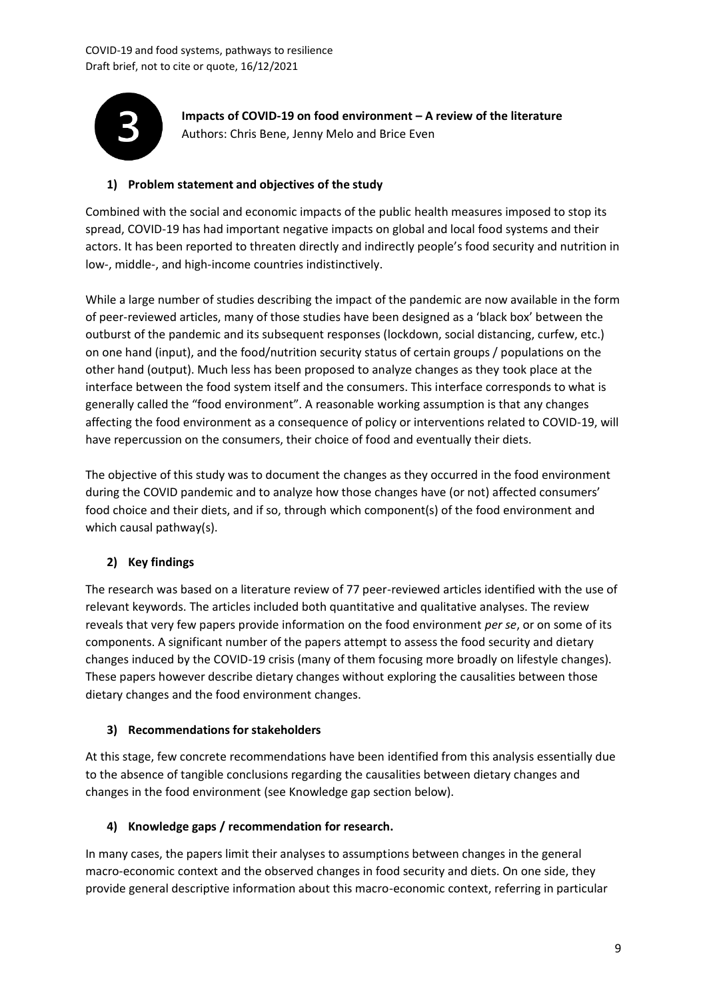

**Impacts of COVID-19 on food environment – A review of the literature** Authors: Chris Bene, Jenny Melo and Brice Even

### **1) Problem statement and objectives of the study**

Combined with the social and economic impacts of the public health measures imposed to stop its spread, COVID-19 has had important negative impacts on global and local food systems and their actors. It has been reported to threaten directly and indirectly people's food security and nutrition in low-, middle-, and high-income countries indistinctively.

While a large number of studies describing the impact of the pandemic are now available in the form of peer-reviewed articles, many of those studies have been designed as a 'black box' between the outburst of the pandemic and its subsequent responses (lockdown, social distancing, curfew, etc.) on one hand (input), and the food/nutrition security status of certain groups / populations on the other hand (output). Much less has been proposed to analyze changes as they took place at the interface between the food system itself and the consumers. This interface corresponds to what is generally called the "food environment". A reasonable working assumption is that any changes affecting the food environment as a consequence of policy or interventions related to COVID-19, will have repercussion on the consumers, their choice of food and eventually their diets.

The objective of this study was to document the changes as they occurred in the food environment during the COVID pandemic and to analyze how those changes have (or not) affected consumers' food choice and their diets, and if so, through which component(s) of the food environment and which causal pathway(s).

#### **2) Key findings**

The research was based on a literature review of 77 peer-reviewed articles identified with the use of relevant keywords. The articles included both quantitative and qualitative analyses. The review reveals that very few papers provide information on the food environment *per se*, or on some of its components. A significant number of the papers attempt to assess the food security and dietary changes induced by the COVID-19 crisis (many of them focusing more broadly on lifestyle changes). These papers however describe dietary changes without exploring the causalities between those dietary changes and the food environment changes.

#### **3) Recommendations for stakeholders**

At this stage, few concrete recommendations have been identified from this analysis essentially due to the absence of tangible conclusions regarding the causalities between dietary changes and changes in the food environment (see Knowledge gap section below).

#### **4) Knowledge gaps / recommendation for research.**

In many cases, the papers limit their analyses to assumptions between changes in the general macro-economic context and the observed changes in food security and diets. On one side, they provide general descriptive information about this macro-economic context, referring in particular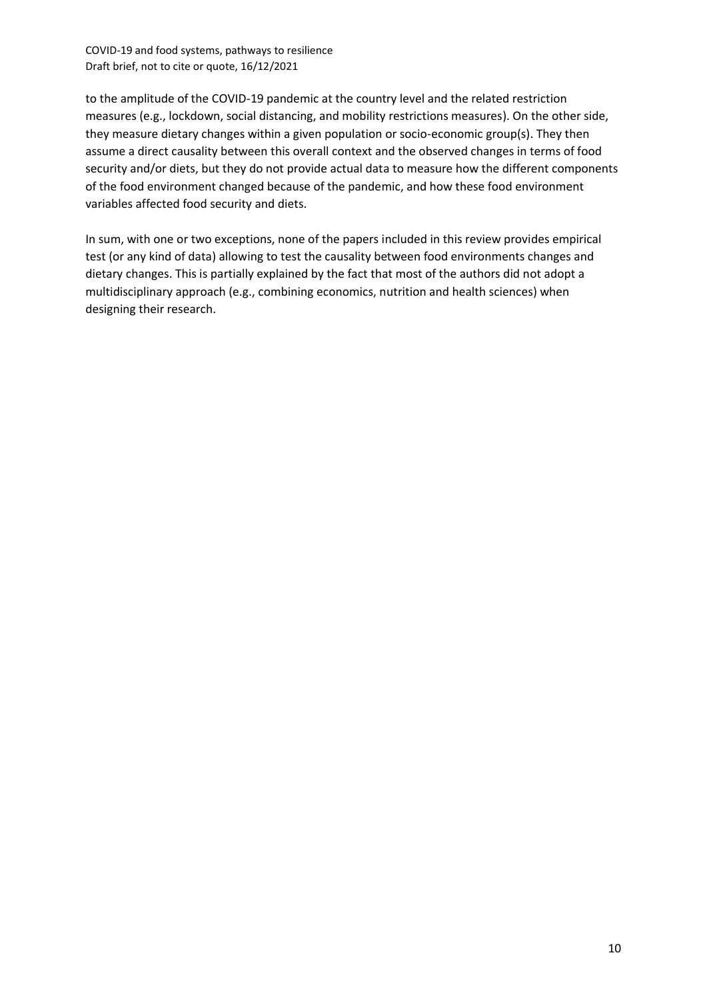to the amplitude of the COVID-19 pandemic at the country level and the related restriction measures (e.g., lockdown, social distancing, and mobility restrictions measures). On the other side, they measure dietary changes within a given population or socio-economic group(s). They then assume a direct causality between this overall context and the observed changes in terms of food security and/or diets, but they do not provide actual data to measure how the different components of the food environment changed because of the pandemic, and how these food environment variables affected food security and diets.

In sum, with one or two exceptions, none of the papers included in this review provides empirical test (or any kind of data) allowing to test the causality between food environments changes and dietary changes. This is partially explained by the fact that most of the authors did not adopt a multidisciplinary approach (e.g., combining economics, nutrition and health sciences) when designing their research.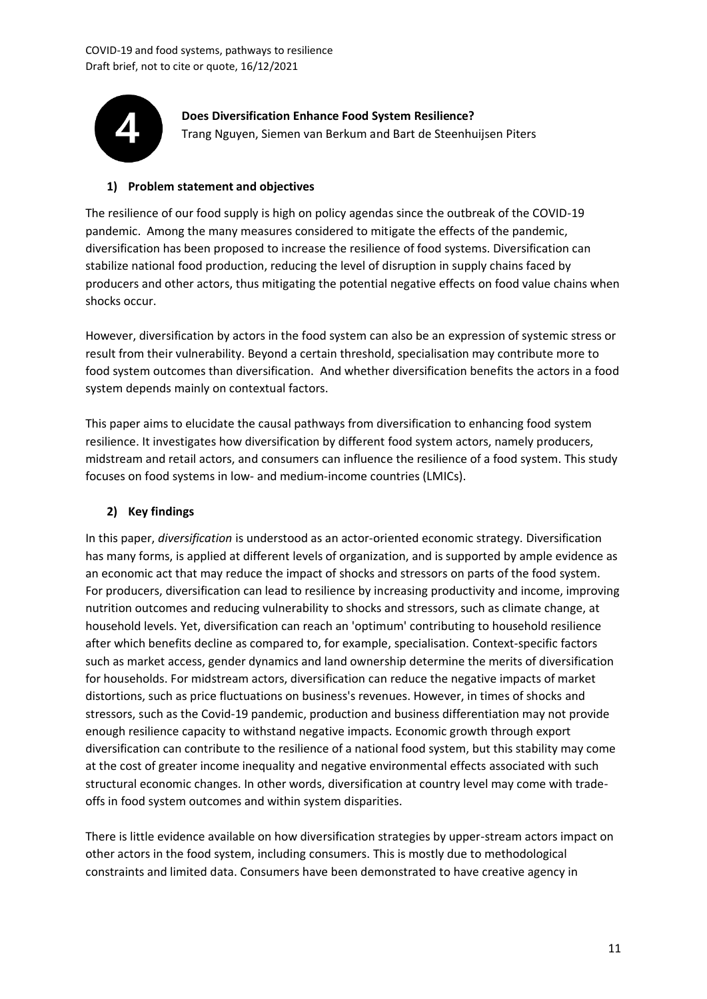

**Does Diversification Enhance Food System Resilience?** Trang Nguyen, Siemen van Berkum and Bart de Steenhuijsen Piters

#### **1) Problem statement and objectives**

The resilience of our food supply is high on policy agendas since the outbreak of the COVID-19 pandemic. Among the many measures considered to mitigate the effects of the pandemic, diversification has been proposed to increase the resilience of food systems. Diversification can stabilize national food production, reducing the level of disruption in supply chains faced by producers and other actors, thus mitigating the potential negative effects on food value chains when shocks occur.

However, diversification by actors in the food system can also be an expression of systemic stress or result from their vulnerability. Beyond a certain threshold, specialisation may contribute more to food system outcomes than diversification. And whether diversification benefits the actors in a food system depends mainly on contextual factors.

This paper aims to elucidate the causal pathways from diversification to enhancing food system resilience. It investigates how diversification by different food system actors, namely producers, midstream and retail actors, and consumers can influence the resilience of a food system. This study focuses on food systems in low- and medium-income countries (LMICs).

#### **2) Key findings**

In this paper, *diversification* is understood as an actor-oriented economic strategy. Diversification has many forms, is applied at different levels of organization, and is supported by ample evidence as an economic act that may reduce the impact of shocks and stressors on parts of the food system. For producers, diversification can lead to resilience by increasing productivity and income, improving nutrition outcomes and reducing vulnerability to shocks and stressors, such as climate change, at household levels. Yet, diversification can reach an 'optimum' contributing to household resilience after which benefits decline as compared to, for example, specialisation. Context-specific factors such as market access, gender dynamics and land ownership determine the merits of diversification for households. For midstream actors, diversification can reduce the negative impacts of market distortions, such as price fluctuations on business's revenues. However, in times of shocks and stressors, such as the Covid-19 pandemic, production and business differentiation may not provide enough resilience capacity to withstand negative impacts. Economic growth through export diversification can contribute to the resilience of a national food system, but this stability may come at the cost of greater income inequality and negative environmental effects associated with such structural economic changes. In other words, diversification at country level may come with tradeoffs in food system outcomes and within system disparities.

There is little evidence available on how diversification strategies by upper-stream actors impact on other actors in the food system, including consumers. This is mostly due to methodological constraints and limited data. Consumers have been demonstrated to have creative agency in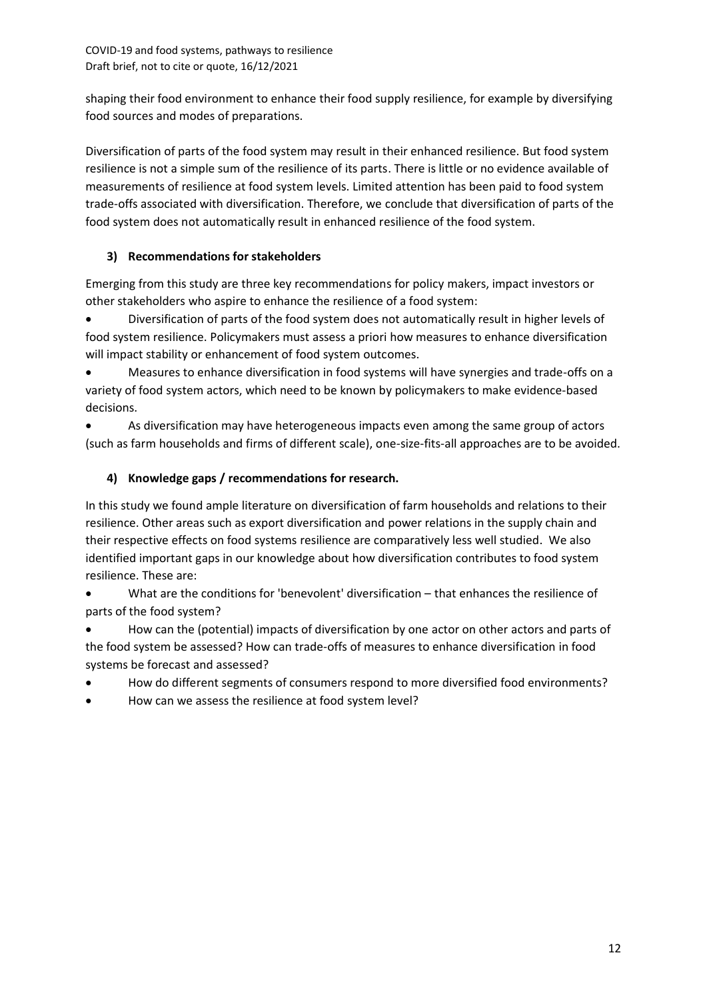shaping their food environment to enhance their food supply resilience, for example by diversifying food sources and modes of preparations.

Diversification of parts of the food system may result in their enhanced resilience. But food system resilience is not a simple sum of the resilience of its parts. There is little or no evidence available of measurements of resilience at food system levels. Limited attention has been paid to food system trade-offs associated with diversification. Therefore, we conclude that diversification of parts of the food system does not automatically result in enhanced resilience of the food system.

# **3) Recommendations for stakeholders**

Emerging from this study are three key recommendations for policy makers, impact investors or other stakeholders who aspire to enhance the resilience of a food system:

• Diversification of parts of the food system does not automatically result in higher levels of food system resilience. Policymakers must assess a priori how measures to enhance diversification will impact stability or enhancement of food system outcomes.

• Measures to enhance diversification in food systems will have synergies and trade-offs on a variety of food system actors, which need to be known by policymakers to make evidence-based decisions.

• As diversification may have heterogeneous impacts even among the same group of actors (such as farm households and firms of different scale), one-size-fits-all approaches are to be avoided.

# **4) Knowledge gaps / recommendations for research.**

In this study we found ample literature on diversification of farm households and relations to their resilience. Other areas such as export diversification and power relations in the supply chain and their respective effects on food systems resilience are comparatively less well studied. We also identified important gaps in our knowledge about how diversification contributes to food system resilience. These are:

• What are the conditions for 'benevolent' diversification – that enhances the resilience of parts of the food system?

• How can the (potential) impacts of diversification by one actor on other actors and parts of the food system be assessed? How can trade-offs of measures to enhance diversification in food systems be forecast and assessed?

- How do different segments of consumers respond to more diversified food environments?
- How can we assess the resilience at food system level?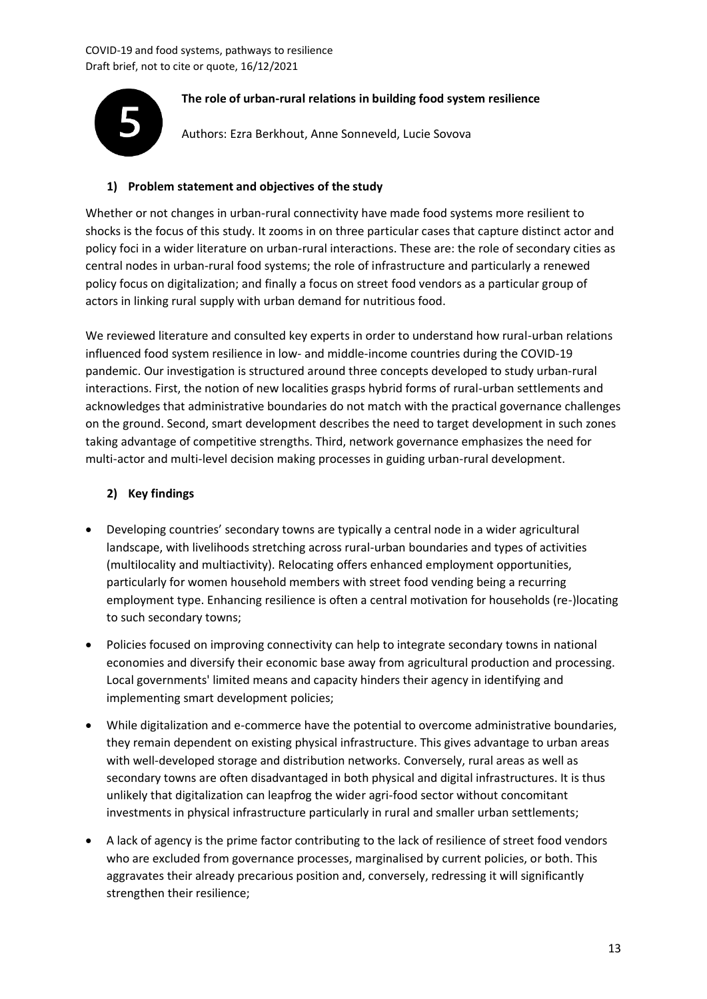

# **The role of urban-rural relations in building food system resilience**

Authors: Ezra Berkhout, Anne Sonneveld, Lucie Sovova

### **1) Problem statement and objectives of the study**

Whether or not changes in urban-rural connectivity have made food systems more resilient to shocks is the focus of this study. It zooms in on three particular cases that capture distinct actor and policy foci in a wider literature on urban-rural interactions. These are: the role of secondary cities as central nodes in urban-rural food systems; the role of infrastructure and particularly a renewed policy focus on digitalization; and finally a focus on street food vendors as a particular group of actors in linking rural supply with urban demand for nutritious food.

We reviewed literature and consulted key experts in order to understand how rural-urban relations influenced food system resilience in low- and middle-income countries during the COVID-19 pandemic. Our investigation is structured around three concepts developed to study urban-rural interactions. First, the notion of new localities grasps hybrid forms of rural-urban settlements and acknowledges that administrative boundaries do not match with the practical governance challenges on the ground. Second, smart development describes the need to target development in such zones taking advantage of competitive strengths. Third, network governance emphasizes the need for multi-actor and multi-level decision making processes in guiding urban-rural development.

# **2) Key findings**

- Developing countries' secondary towns are typically a central node in a wider agricultural landscape, with livelihoods stretching across rural-urban boundaries and types of activities (multilocality and multiactivity). Relocating offers enhanced employment opportunities, particularly for women household members with street food vending being a recurring employment type. Enhancing resilience is often a central motivation for households (re-)locating to such secondary towns;
- Policies focused on improving connectivity can help to integrate secondary towns in national economies and diversify their economic base away from agricultural production and processing. Local governments' limited means and capacity hinders their agency in identifying and implementing smart development policies;
- While digitalization and e-commerce have the potential to overcome administrative boundaries, they remain dependent on existing physical infrastructure. This gives advantage to urban areas with well-developed storage and distribution networks. Conversely, rural areas as well as secondary towns are often disadvantaged in both physical and digital infrastructures. It is thus unlikely that digitalization can leapfrog the wider agri-food sector without concomitant investments in physical infrastructure particularly in rural and smaller urban settlements;
- A lack of agency is the prime factor contributing to the lack of resilience of street food vendors who are excluded from governance processes, marginalised by current policies, or both. This aggravates their already precarious position and, conversely, redressing it will significantly strengthen their resilience;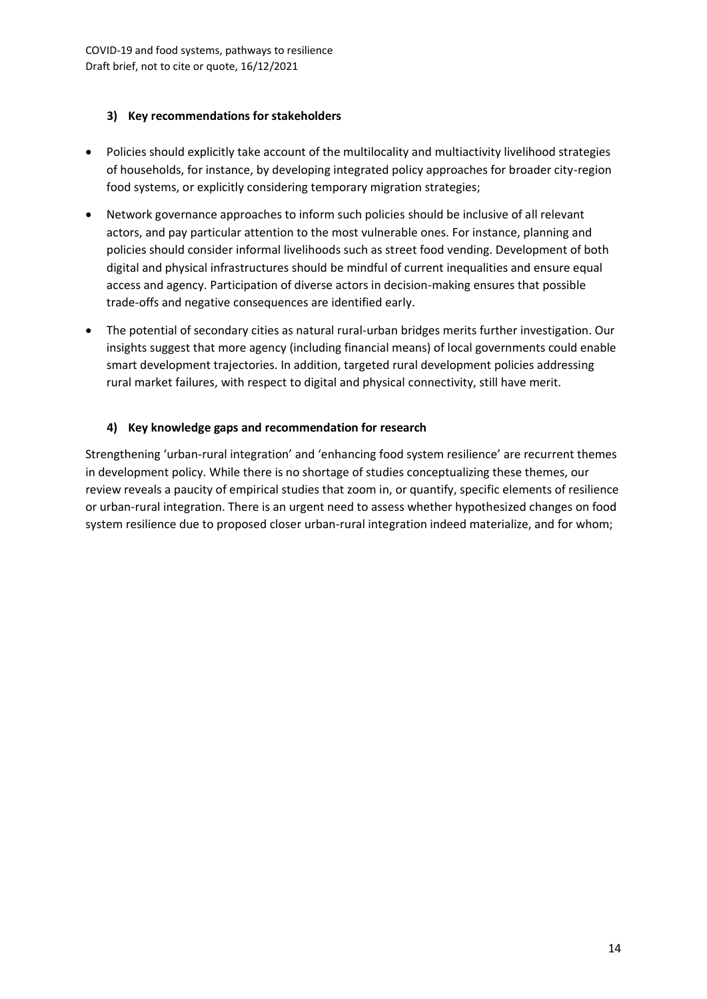#### **3) Key recommendations for stakeholders**

- Policies should explicitly take account of the multilocality and multiactivity livelihood strategies of households, for instance, by developing integrated policy approaches for broader city-region food systems, or explicitly considering temporary migration strategies;
- Network governance approaches to inform such policies should be inclusive of all relevant actors, and pay particular attention to the most vulnerable ones. For instance, planning and policies should consider informal livelihoods such as street food vending. Development of both digital and physical infrastructures should be mindful of current inequalities and ensure equal access and agency. Participation of diverse actors in decision-making ensures that possible trade-offs and negative consequences are identified early.
- The potential of secondary cities as natural rural-urban bridges merits further investigation. Our insights suggest that more agency (including financial means) of local governments could enable smart development trajectories. In addition, targeted rural development policies addressing rural market failures, with respect to digital and physical connectivity, still have merit.

# **4) Key knowledge gaps and recommendation for research**

Strengthening 'urban-rural integration' and 'enhancing food system resilience' are recurrent themes in development policy. While there is no shortage of studies conceptualizing these themes, our review reveals a paucity of empirical studies that zoom in, or quantify, specific elements of resilience or urban-rural integration. There is an urgent need to assess whether hypothesized changes on food system resilience due to proposed closer urban-rural integration indeed materialize, and for whom;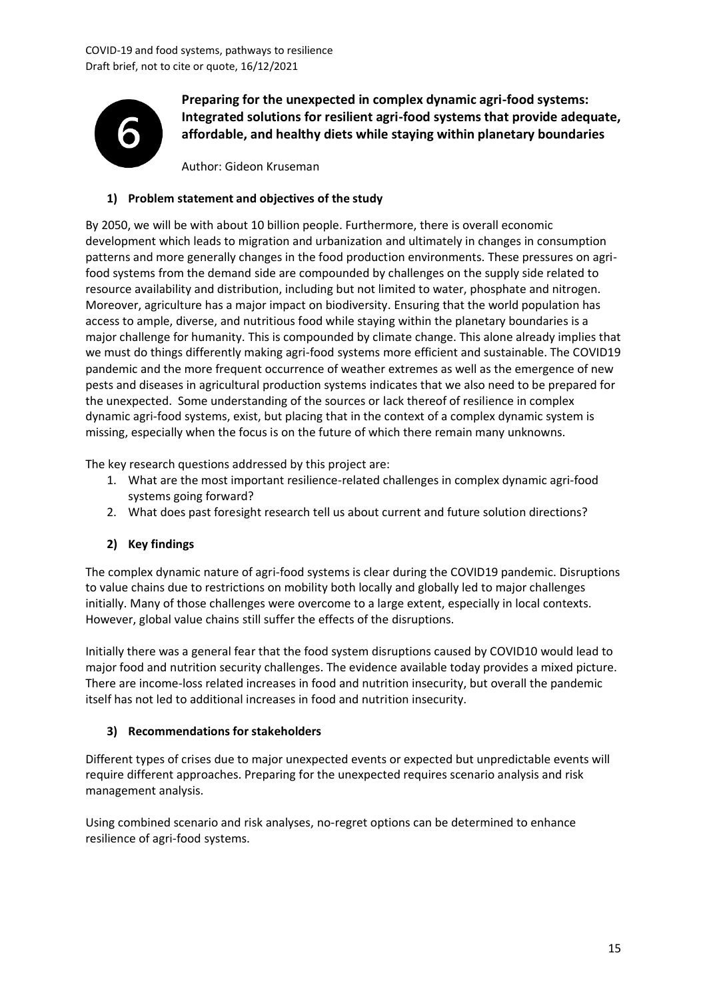

**Preparing for the unexpected in complex dynamic agri-food systems: Integrated solutions for resilient agri-food systems that provide adequate, affordable, and healthy diets while staying within planetary boundaries**

Author: Gideon Kruseman

# **1) Problem statement and objectives of the study**

By 2050, we will be with about 10 billion people. Furthermore, there is overall economic development which leads to migration and urbanization and ultimately in changes in consumption patterns and more generally changes in the food production environments. These pressures on agrifood systems from the demand side are compounded by challenges on the supply side related to resource availability and distribution, including but not limited to water, phosphate and nitrogen. Moreover, agriculture has a major impact on biodiversity. Ensuring that the world population has access to ample, diverse, and nutritious food while staying within the planetary boundaries is a major challenge for humanity. This is compounded by climate change. This alone already implies that we must do things differently making agri-food systems more efficient and sustainable. The COVID19 pandemic and the more frequent occurrence of weather extremes as well as the emergence of new pests and diseases in agricultural production systems indicates that we also need to be prepared for the unexpected. Some understanding of the sources or lack thereof of resilience in complex dynamic agri-food systems, exist, but placing that in the context of a complex dynamic system is missing, especially when the focus is on the future of which there remain many unknowns.

The key research questions addressed by this project are:

- 1. What are the most important resilience-related challenges in complex dynamic agri-food systems going forward?
- 2. What does past foresight research tell us about current and future solution directions?

# **2) Key findings**

The complex dynamic nature of agri-food systems is clear during the COVID19 pandemic. Disruptions to value chains due to restrictions on mobility both locally and globally led to major challenges initially. Many of those challenges were overcome to a large extent, especially in local contexts. However, global value chains still suffer the effects of the disruptions.

Initially there was a general fear that the food system disruptions caused by COVID10 would lead to major food and nutrition security challenges. The evidence available today provides a mixed picture. There are income-loss related increases in food and nutrition insecurity, but overall the pandemic itself has not led to additional increases in food and nutrition insecurity.

#### **3) Recommendations for stakeholders**

Different types of crises due to major unexpected events or expected but unpredictable events will require different approaches. Preparing for the unexpected requires scenario analysis and risk management analysis.

Using combined scenario and risk analyses, no-regret options can be determined to enhance resilience of agri-food systems.